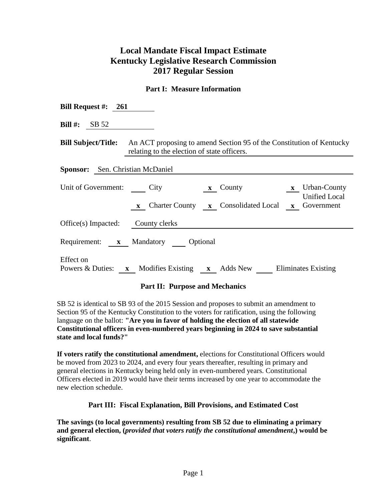# **Local Mandate Fiscal Impact Estimate Kentucky Legislative Research Commission 2017 Regular Session**

## **Part I: Measure Information**

| Bill Request #: $261$                   |                                                                                                                                                |
|-----------------------------------------|------------------------------------------------------------------------------------------------------------------------------------------------|
| Bill #: $SB 52$                         |                                                                                                                                                |
|                                         | <b>Bill Subject/Title:</b> An ACT proposing to amend Section 95 of the Constitution of Kentucky<br>relating to the election of state officers. |
| <b>Sponsor:</b> Sen. Christian McDaniel |                                                                                                                                                |
| Unit of Government: City                | $x$ Urban-County<br>$\mathbf{x}$ County<br><b>Unified Local</b><br>x Charter County x Consolidated Local x Government                          |
| Office(s) Impacted: County clerks       |                                                                                                                                                |
|                                         | Requirement: <b>x</b> Mandatory Optional                                                                                                       |
| <b>Effect</b> on<br>Powers & Duties:    | <b>x</b> Modifies Existing <b>x</b> Adds New Eliminates Existing                                                                               |

### **Part II: Purpose and Mechanics**

SB 52 is identical to SB 93 of the 2015 Session and proposes to submit an amendment to Section 95 of the Kentucky Constitution to the voters for ratification, using the following language on the ballot: **"Are you in favor of holding the election of all statewide Constitutional officers in even-numbered years beginning in 2024 to save substantial state and local funds?"**

**If voters ratify the constitutional amendment,** elections for Constitutional Officers would be moved from 2023 to 2024, and every four years thereafter, resulting in primary and general elections in Kentucky being held only in even-numbered years. Constitutional Officers elected in 2019 would have their terms increased by one year to accommodate the new election schedule.

### **Part III: Fiscal Explanation, Bill Provisions, and Estimated Cost**

**The savings (to local governments) resulting from SB 52 due to eliminating a primary and general election, (***provided that voters ratify the constitutional amendment***,) would be significant**.